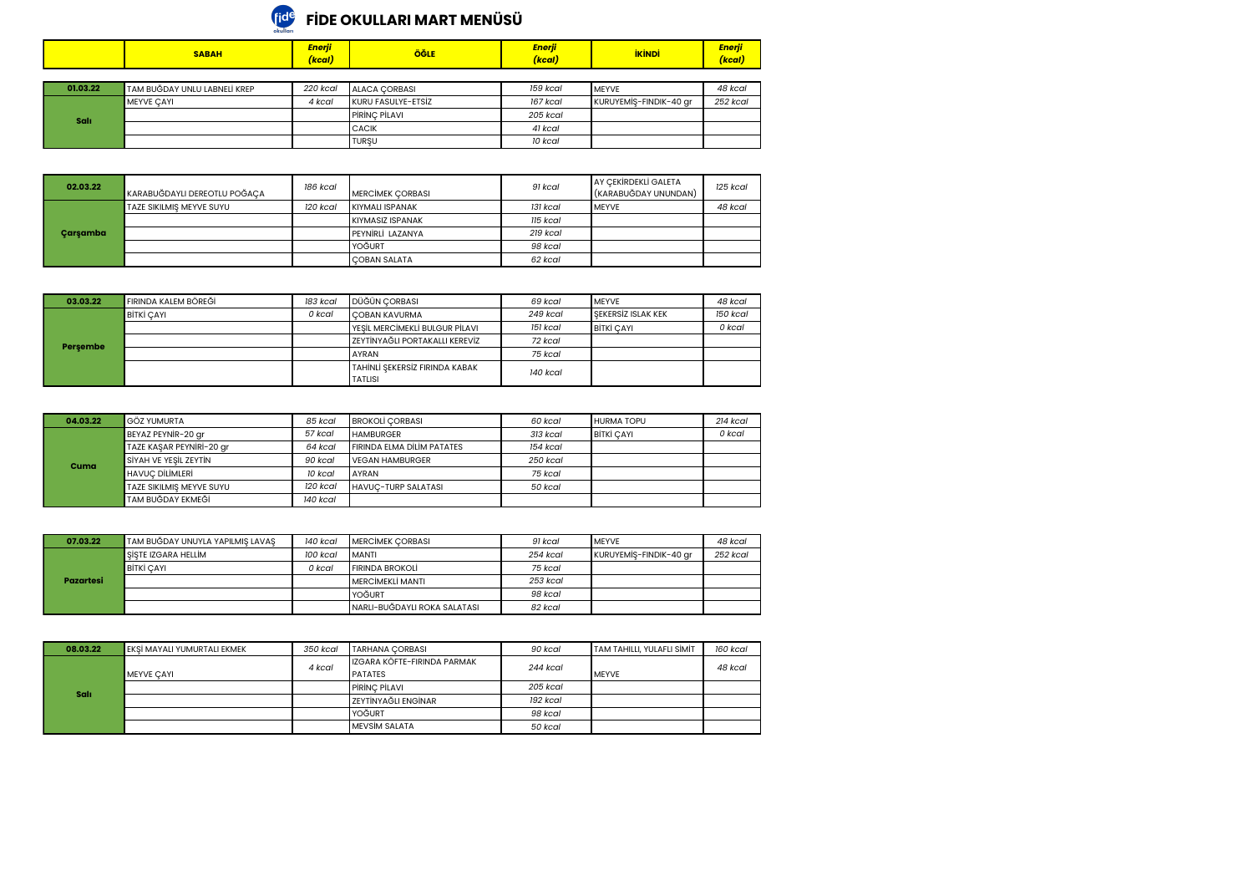## **FİDE OKULLARI MART MENÜSÜ**

|          | <b>SABAH</b>                 | Enerji<br>(kcal) | ÖĞLE               | Enerji<br>(kcal) | <b>İKİNDİ</b>          | <b>Enerji</b><br>(kcal) |
|----------|------------------------------|------------------|--------------------|------------------|------------------------|-------------------------|
|          |                              |                  |                    |                  |                        |                         |
| 01.03.22 | TAM BUĞDAY UNLU LABNELİ KREP | 220 kcal         | ALACA CORBASI      | 159 kcal         | <b>IMEYVE</b>          | 48 kcal                 |
|          | <b>MEYVE CAYI</b>            | 4 kcal           | KURU FASULYE-ETSİZ | 167 kcal         | KURUYEMİŞ-FINDIK-40 gr | 252 kcal                |
| Salı     |                              |                  | PIRINC PILAVI      | 205 kcal         |                        |                         |
|          |                              |                  | <b>CACIK</b>       | 41 kcal          |                        |                         |
|          |                              |                  | <b>TURSU</b>       | 10 kcal          |                        |                         |

| 02.03.22 | KARABUĞDAYLI DEREOTLU POĞAÇA | 186 kcal | <b>MERCIMEK CORBASI</b> | 91 kcal  | <b>JAY CEKIRDEKLI GALETA</b><br>(KARABUĞDAY UNUNDAN) | 125 kcal |
|----------|------------------------------|----------|-------------------------|----------|------------------------------------------------------|----------|
|          | TAZE SIKILMIS MEYVE SUYU     | 120 kcal | KIYMALI ISPANAK         | 131 kcal | <b>IMEYVE</b>                                        | 48 kcal  |
|          |                              |          | KIYMASIZ ISPANAK        | 115 kcal |                                                      |          |
| Carsamba |                              |          | PEYNIRLI LAZANYA        | 219 kcal |                                                      |          |
|          |                              |          | YOĞURT                  | 98 kcal  |                                                      |          |
|          |                              |          | <b>COBAN SALATA</b>     | 62 kcal  |                                                      |          |

| 03.03.22 | FIRINDA KALEM BÖREĞİ | 183 kcal | DÜĞÜN CORBASI                    | 69 kcal  | <b>IMEYVE</b>             | 48 kcal  |
|----------|----------------------|----------|----------------------------------|----------|---------------------------|----------|
| Persembe | <b>BİTKİ CAYI</b>    | 0 kcal   | <b>COBAN KAVURMA</b>             | 249 kcal | <b>SEKERSIZ ISLAK KEK</b> | 150 kcal |
|          |                      |          | YESİL MERCİMEKLİ BULGUR PİLAVI   | 151 kcal | <b>BİTKİ CAYI</b>         | 0 kcal   |
|          |                      |          | I ZEYTİNYAĞLI PORTAKALLI KEREVİZ | 72 kcal  |                           |          |
|          |                      |          | <b>AYRAN</b>                     | 75 kcal  |                           |          |
|          |                      |          | TAHİNLİ ŞEKERSİZ FIRINDA KABAK   | 140 kcal |                           |          |
|          |                      |          | <b>TATLISI</b>                   |          |                           |          |

| 04.03.22 | <b>GÖZ YUMURTA</b>       | 85 kcal  | <b>BROKOLI CORBASI</b>            | 60 kcal  | <b>HURMA TOPU</b> | $214$ kcal |
|----------|--------------------------|----------|-----------------------------------|----------|-------------------|------------|
|          | BEYAZ PEYNIR-20 gr       | 57 kcal  | <b>HAMBURGER</b>                  | 313 kcal | <b>BİTKİ CAYI</b> | 0 kcal     |
|          | TAZE KASAR PEYNIRI-20 gr | 64 kcal  | <b>FIRINDA ELMA DILIM PATATES</b> | 154 kcal |                   |            |
| Cuma     | SİYAH VE YESİL ZEYTİN    | 90 kcal  | <b>VEGAN HAMBURGER</b>            | 250 kcal |                   |            |
|          | <b>HAVUC DILIMLERI</b>   | 10 kcal  | <b>LAYRAN</b>                     | 75 kcal  |                   |            |
|          | TAZE SIKILMIS MEYVE SUYU | 120 kcal | <b>HAVUC-TURP SALATASI</b>        | 50 kcal  |                   |            |
|          | <b>TAM BUĞDAY EKMEĞİ</b> | 140 kcal |                                   |          |                   |            |

| 07.03.22  | TAM BUĞDAY UNUYLA YAPILMIŞ LAVAŞ | 140 kcal | <b>IMERCIMEK CORBASI</b>     | 91 kcal  | <b>IMEYVE</b>          | 48 kcal  |
|-----------|----------------------------------|----------|------------------------------|----------|------------------------|----------|
|           | SİSTE IZGARA HELLİM              | 100 kcal | <b>IMANTI</b>                | 254 kcal | KURUYEMİŞ-FINDIK-40 gr | 252 kcal |
|           | <b>BİTKİ CAYI</b>                | 0 kcal   | <b>FIRINDA BROKOLI</b>       | 75 kcal  |                        |          |
| Pazartesi |                                  |          | I MERCIMEKLI MANTI           | 253 kcal |                        |          |
|           |                                  |          | <b>I</b> YOĞURT              | 98 kcal  |                        |          |
|           |                                  |          | NARLI-BUĞDAYLI ROKA SALATASI | 82 kcal  |                        |          |

| 08.03.22    | EKSİ MAYALI YUMURTALI EKMEK | 350 kcal | <b>TARHANA CORBASI</b>                        | 90 kcal  | <b>TAM TAHILLI, YULAFLI SİMİT</b> | 160 kcal |
|-------------|-----------------------------|----------|-----------------------------------------------|----------|-----------------------------------|----------|
|             | <b>MEYVE CAYI</b>           | 4 kcal   | IZGARA KÖFTE-FIRINDA PARMAK<br><b>PATATES</b> | 244 kcal | <b>MEYVE</b>                      | 48 kcal  |
|             |                             |          | <b>PIRINC PILAVI</b>                          | 205 kcal |                                   |          |
| <b>Sali</b> |                             |          | <b>ZEYTİNYAĞLI ENGİNAR</b>                    | 192 kcal |                                   |          |
|             |                             |          | YOĞURT                                        | 98 kcal  |                                   |          |
|             |                             |          | <b>MEVSIM SALATA</b>                          | 50 kcal  |                                   |          |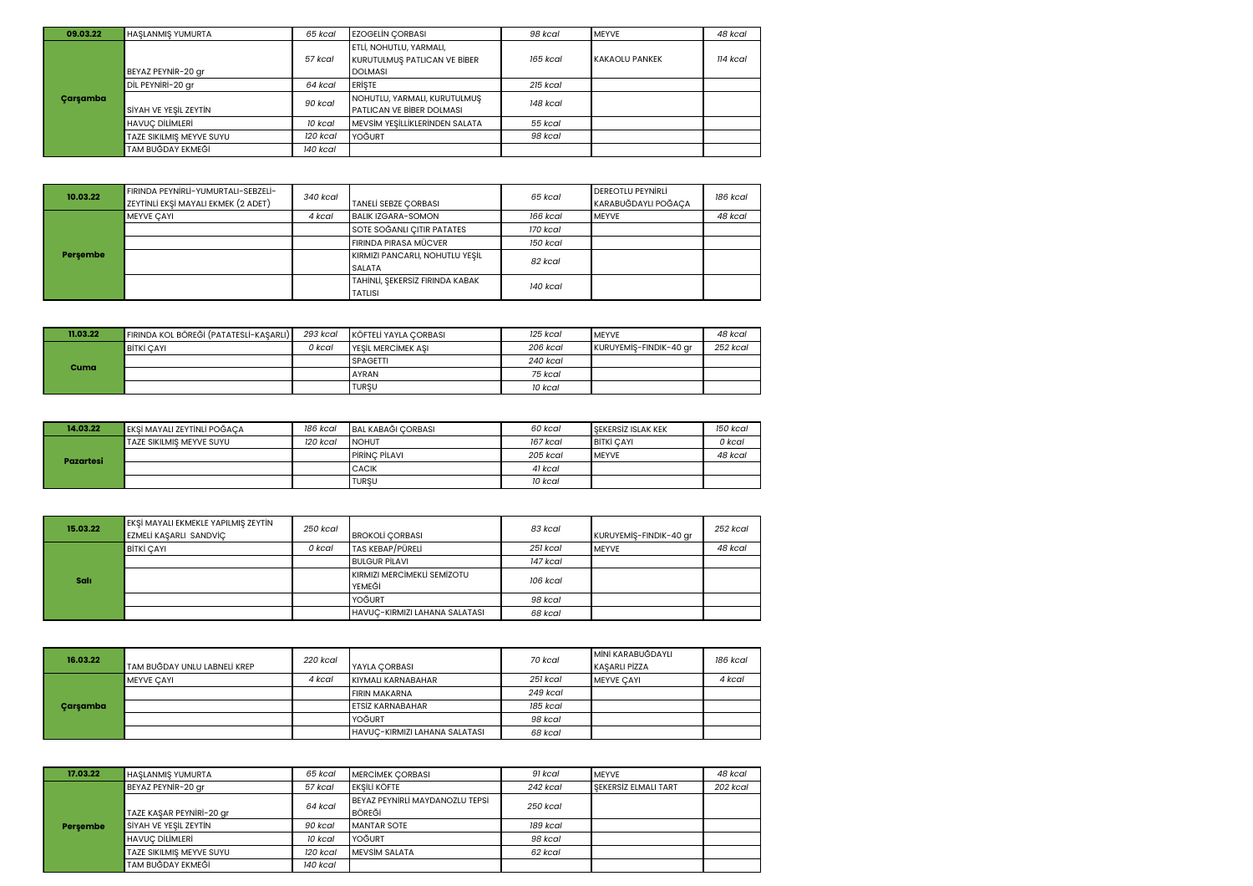| 09.03.22 | <b>HASLANMIS YUMURTA</b> | 65 kcal  | <b>EZOGELIN CORBASI</b>        | 98 kcal    | <b>IMEYVE</b>          | 48 kcal  |
|----------|--------------------------|----------|--------------------------------|------------|------------------------|----------|
|          |                          |          | ETLİ, NOHUTLU, YARMALI,        |            |                        |          |
|          |                          | 57 kcal  | KURUTULMUŞ PATLICAN VE BİBER   | 165 kcal   | <b>IKAKAOLU PANKEK</b> | 114 kcal |
|          | BEYAZ PEYNIR-20 gr       |          | <b>DOLMASI</b>                 |            |                        |          |
|          | DİL PEYNİRİ-20 gr        | 64 kcal  | <b>ERISTE</b>                  | $215$ kcal |                        |          |
| Carsamba |                          | 90 kcal  | NOHUTLU, YARMALI, KURUTULMUS   | 148 kcal   |                        |          |
|          | SİYAH VE YEŞİL ZEYTİN    |          | PATLICAN VE BİBER DOLMASI      |            |                        |          |
|          | <b>HAVUC DİLİMLERİ</b>   | 10 kcal  | MEVSİM YEŞİLLİKLERİNDEN SALATA | 55 kcal    |                        |          |
|          | TAZE SIKILMIŞ MEYVE SUYU | 120 kcal | YOĞURT                         | 98 kcal    |                        |          |
|          | TAM BUĞDAY EKMEĞİ        | 140 kcal |                                |            |                        |          |

| 10.03.22 | FIRINDA PEYNIRLİ-YUMURTALI-SEBZELİ-<br>ZEYTİNLİ EKŞİ MAYALI EKMEK (2 ADET) | 340 kcal | <b>TANELI SEBZE CORBASI</b>     | 65 kcal  | DEREOTLU PEYNIRLI<br>KARABUĞDAYLI POĞAÇA | 186 kcal |
|----------|----------------------------------------------------------------------------|----------|---------------------------------|----------|------------------------------------------|----------|
|          | <b>MEYVE CAYI</b>                                                          | 4 kcal   | <b>BALIK IZGARA-SOMON</b>       | 166 kcal | <b>IMEYVE</b>                            | 48 kcal  |
|          |                                                                            |          | SOTE SOĞANLI ÇITIR PATATES      | 170 kcal |                                          |          |
|          |                                                                            |          | FIRINDA PIRASA MÜCVER           | 150 kcal |                                          |          |
| Persembe |                                                                            |          | KIRMIZI PANCARLI, NOHUTLU YEŞİL | 82 kcal  |                                          |          |
|          |                                                                            |          | <b>SALATA</b>                   |          |                                          |          |
|          |                                                                            |          | TAHİNLİ, ŞEKERSİZ FIRINDA KABAK | 140 kcal |                                          |          |
|          |                                                                            |          | <b>TATLISI</b>                  |          |                                          |          |

| 11.03.22 | FIRINDA KOL BÖREĞİ (PATATESLİ-KAŞARLI) | 293 kcal | <b>KÖFTELİ YAYLA CORBASI</b> | 125 kcal | <b>IMEYVE</b>          | 48 kcal  |
|----------|----------------------------------------|----------|------------------------------|----------|------------------------|----------|
|          | BİTKİ CAYI                             | 0 kcal   | <b>IYESIL MERCIMEK ASI</b>   | 206 kcal | KURUYEMİŞ-FINDIK-40 gr | 252 kcal |
| Cuma     |                                        |          | <b>SPAGETTI</b>              | 240 kcal |                        |          |
|          |                                        |          | <b>AYRAN</b>                 | 75 kcal  |                        |          |
|          |                                        |          | <b>TURSU</b>                 | 10 kcal  |                        |          |

| 14.03.22  | <b>EKŞİ MAYALI ZEYTİNLİ POĞAÇA</b> | 186 kcal | BAL KABAĞI CORBASI   | 60 kcal  | <b>I</b> SEKERSIZ ISLAK KEK | 150 kcal |
|-----------|------------------------------------|----------|----------------------|----------|-----------------------------|----------|
|           | TAZE SIKILMIS MEYVE SUYU           | 120 kcal | <b>INOHUT</b>        | 167 kcal | <b>BİTKİ CAYI</b>           | 0 kcal   |
| Pazartesi |                                    |          | <b>PIRINC PILAVI</b> | 205 kcal | <b>IMEYVE</b>               | 48 kcal  |
|           |                                    |          | <b>CACIK</b>         | 41 kcal  |                             |          |
|           |                                    |          | <b>TURSU</b>         | 10 kcal  |                             |          |

| 15.03.22    | EKSİ MAYALI EKMEKLE YAPILMIŞ ZEYTİN<br>EZMELİ KAŞARLI SANDVİÇ | 250 kcal | <b>BROKOLI CORBASI</b>                | 83 kcal  | KURUYEMİŞ-FINDIK-40 gr | 252 kcal |
|-------------|---------------------------------------------------------------|----------|---------------------------------------|----------|------------------------|----------|
| <b>Sali</b> | <b>BİTKİ CAYI</b>                                             | 0 kcal   | TAS KEBAP/PÜRELİ                      | 251 kcal | <b>IMEYVE</b>          | 48 kcal  |
|             |                                                               |          | <b>BULGUR PILAVI</b>                  | 147 kcal |                        |          |
|             |                                                               |          | KIRMIZI MERCIMEKLI SEMIZOTU<br>YEMEĞİ | 106 kcal |                        |          |
|             |                                                               |          | YOĞURT                                | 98 kcal  |                        |          |
|             |                                                               |          | HAVUC-KIRMIZI LAHANA SALATASI         | 68 kcal  |                        |          |

| 16.03.22 | TAM BUĞDAY UNLU LABNELİ KREP | 220 kcal | <b>IYAYLA CORBASI</b>         | 70 kcal  | <b>IMINI KARABUĞDAYLI</b><br>KASARLI PİZZA | 186 kcal |
|----------|------------------------------|----------|-------------------------------|----------|--------------------------------------------|----------|
|          | <b>MEYVE CAYI</b>            | 4 kcal   | KIYMALI KARNABAHAR            | 251 kcal | <b>IMEYVE CAYI</b>                         | 4 kcal   |
|          |                              |          | <b>FIRIN MAKARNA</b>          | 249 kcal |                                            |          |
| Carsamba |                              |          | <b>LETSİZ KARNABAHAR</b>      | 185 kcal |                                            |          |
|          |                              |          | YOĞURT                        | 98 kcal  |                                            |          |
|          |                              |          | HAVUC-KIRMIZI LAHANA SALATASI | 68 kcal  |                                            |          |

| 17.03.22 | <b>HASLANMIS YUMURTA</b> | 65 kcal  | <b>IMERCIMEK CORBASI</b>                  | 91 kcal  | <b>IMEYVE</b>               | 48 kcal  |
|----------|--------------------------|----------|-------------------------------------------|----------|-----------------------------|----------|
|          | BEYAZ PEYNIR-20 gr       | 57 kcal  | <b>EKSİLİ KÖFTE</b>                       | 242 kcal | <b>SEKERSIZ ELMALI TART</b> | 202 kcal |
|          | TAZE KAŞAR PEYNİRİ-20 gr | 64 kcal  | BEYAZ PEYNIRLİ MAYDANOZLU TEPSİ<br>BÖREĞİ | 250 kcal |                             |          |
| Persembe | SİYAH VE YESİL ZEYTİN    | 90 kcal  | <b>MANTAR SOTE</b>                        | 189 kcal |                             |          |
|          | <b>HAVUC DİLİMLERİ</b>   | 10 kcal  | YOĞURT                                    | 98 kcal  |                             |          |
|          | TAZE SIKILMIS MEYVE SUYU | 120 kcal | <b>IMEVSIM SALATA</b>                     | 62 kcal  |                             |          |
|          | TAM BUĞDAY EKMEĞİ        | 140 kcal |                                           |          |                             |          |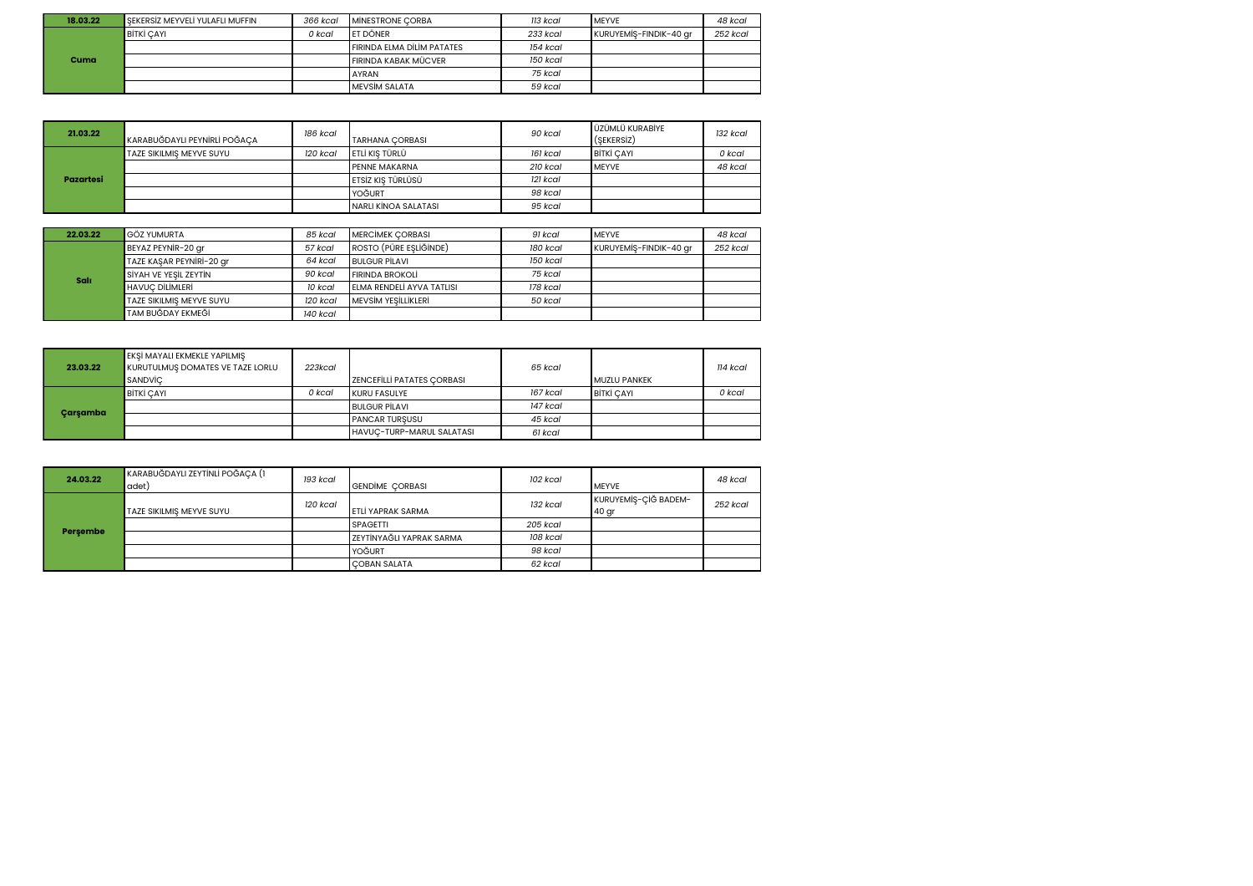| 18.03.22 | SEKERSİZ MEYVELİ YULAFLI MUFFIN | 366 kcal | <b>MINESTRONE CORBA</b>           | 113 kcal | <b>IMEYVE</b>          | 48 kcal  |
|----------|---------------------------------|----------|-----------------------------------|----------|------------------------|----------|
|          | <b>BİTKİ CAYI</b>               | 0 kcal   | <b>LET DÖNER</b>                  | 233 kcal | KURUYEMİŞ-FINDIK-40 gr | 252 kcal |
|          |                                 |          | <b>FIRINDA ELMA DÍLÍM PATATES</b> | 154 kcal |                        |          |
| Cuma     |                                 |          | FIRINDA KABAK MÜCVER              | 150 kcal |                        |          |
|          |                                 |          | <b>AYRAN</b>                      | 75 kcal  |                        |          |
|          |                                 |          | <b>IMEVSIM SALATA</b>             | 59 kcal  |                        |          |

| 21.03.22  | KARABUĞDAYLI PEYNİRLİ POĞACA | 186 kcal | <b>TARHANA CORBASI</b>    | 90 kcal  | UZÜMLÜ KURABİYE<br>(SEKERSIZ) | 132 kcal |
|-----------|------------------------------|----------|---------------------------|----------|-------------------------------|----------|
|           | TAZE SIKILMIS MEYVE SUYU     | 120 kcal | <b>LETLI KIS TÜRLÜ</b>    | 161 kcal | <b>BITKI CAYI</b>             | 0 kcal   |
|           |                              |          | <b>PENNE MAKARNA</b>      | 210 kcal | <b>IMEYVE</b>                 | 48 kcal  |
| Pazartesi |                              |          | <b>LETSİZ KIS TÜRLÜSÜ</b> | 121 kcal |                               |          |
|           |                              |          | YOĞURT                    | 98 kcal  |                               |          |
|           |                              |          | INARLI KİNOA SALATASI     | 95 kcal  |                               |          |

| 22.03.22    | <b>GÖZ YUMURTA</b>       | 85 kcal  | <b>MERCIMEK CORBASI</b>   | 91 kcal  | <b>IMEYVE</b>          | 48 kcal  |
|-------------|--------------------------|----------|---------------------------|----------|------------------------|----------|
|             | BEYAZ PEYNIR-20 gr       | 57 kcal  | ROSTO (PÜRE EŞLİĞİNDE)    | 180 kcal | KURUYEMİŞ-FINDIK-40 gr | 252 kcal |
|             | TAZE KASAR PEYNIRI-20 gr | 64 kcal  | <b>BULGUR PILAVI</b>      | 150 kcal |                        |          |
| <b>Sali</b> | SİYAH VE YEŞİL ZEYTİN    | 90 kcal  | <b>FIRINDA BROKOLI</b>    | 75 kcal  |                        |          |
|             | <b>HAVUC DİLİMLERİ</b>   | 10 kcal  | ELMA RENDELİ AYVA TATLISI | 178 kcal |                        |          |
|             | TAZE SIKILMIS MEYVE SUYU | 120 kcal | MEVSİM YESİLLİKLERİ       | 50 kcal  |                        |          |
|             | TAM BUĞDAY EKMEĞİ        | 140 kcal |                           |          |                        |          |

| 23.03.22 | EKŞİ MAYALI EKMEKLE YAPILMIŞ<br>KURUTULMUS DOMATES VE TAZE LORLU<br>SANDVİC | 223kcal | <b>ZENCEFILLI PATATES CORBASI</b> | 65 kcal  | <b>IMUZLU PANKEK</b> | 114 kcal |
|----------|-----------------------------------------------------------------------------|---------|-----------------------------------|----------|----------------------|----------|
|          | <b>BİTKİ CAYI</b>                                                           | 0 kcal  | <b>IKURU FASULYE</b>              | 167 kcal | <b>BİTKİ CAYI</b>    | 0 kcal   |
| Carsamba |                                                                             |         | <b>BULGUR PILAVI</b>              | 147 kcal |                      |          |
|          |                                                                             |         | <b>PANCAR TURSUSU</b>             | 45 kcal  |                      |          |
|          |                                                                             |         | <b>HAVUC-TURP-MARUL SALATASI</b>  | 61 kcal  |                      |          |

| 24.03.22 | KARABUĞDAYLI ZEYTİNLİ POĞAÇA (1<br>adet) | 193 kcal | <b>GENDIME CORBASI</b>          | 102 kcal | <b>IMEYVE</b>                 | 48 kcal  |
|----------|------------------------------------------|----------|---------------------------------|----------|-------------------------------|----------|
|          | TAZE SIKILMIS MEYVE SUYU                 | 120 kcal | ETLİ YAPRAK SARMA               | 132 kcal | KURUYEMİŞ-ÇİĞ BADEM-<br>40 gr | 252 kcal |
| Persembe |                                          |          | <b>SPAGETTI</b>                 | 205 kcal |                               |          |
|          |                                          |          | <b>ZEYTİNYAĞLI YAPRAK SARMA</b> | 108 kcal |                               |          |
|          |                                          |          | YOĞURT                          | 98 kcal  |                               |          |
|          |                                          |          | <b>COBAN SALATA</b>             | 62 kcal  |                               |          |